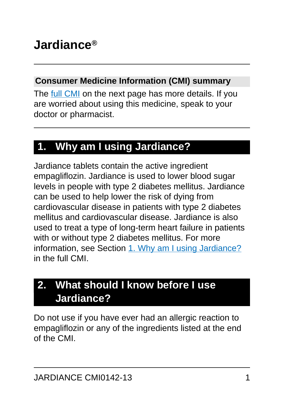# **Jardiance®**

#### **Consumer Medicine Information (CMI) summary**

The [full CMI](#page-4-0) on the next page has more details. If you are worried about using this medicine, speak to your doctor or pharmacist.

## **1. Why am I using Jardiance?**

Jardiance tablets contain the active ingredient empagliflozin. Jardiance is used to lower blood sugar levels in people with type 2 diabetes mellitus. Jardiance can be used to help lower the risk of dying from cardiovascular disease in patients with type 2 diabetes mellitus and cardiovascular disease. Jardiance is also used to treat a type of long-term heart failure in patients with or without type 2 diabetes mellitus. For more information, see Section [1. Why am I using Jardiance?](#page-4-1) in the full CMI.

## **2. What should I know before I use Jardiance?**

Do not use if you have ever had an allergic reaction to empagliflozin or any of the ingredients listed at the end of the CMI.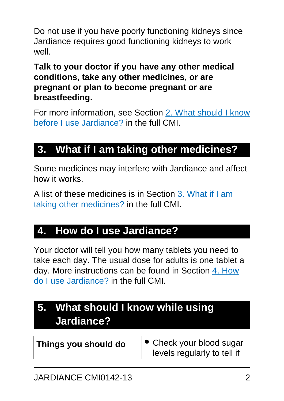Do not use if you have poorly functioning kidneys since Jardiance requires good functioning kidneys to work well.

#### **Talk to your doctor if you have any other medical conditions, take any other medicines, or are pregnant or plan to become pregnant or are breastfeeding.**

For more information, see Section [2. What should I know](#page-6-0) [before I use Jardiance?](#page-6-0) in the full CMI.

## **3. What if I am taking other medicines?**

Some medicines may interfere with Jardiance and affect how it works.

A list of these medicines is in Section [3. What if I am](#page-8-0) [taking other medicines?](#page-8-0) in the full CMI.

## **4. How do I use Jardiance?**

Your doctor will tell you how many tablets you need to take each day. The usual dose for adults is one tablet a day. More instructions can be found in Section [4. How](#page-9-0) [do I use Jardiance?](#page-9-0) in the full CMI.

## **5. What should I know while using Jardiance?**

| Things you should do | $\bullet$ Check your blood sugar |
|----------------------|----------------------------------|
|                      | levels regularly to tell if      |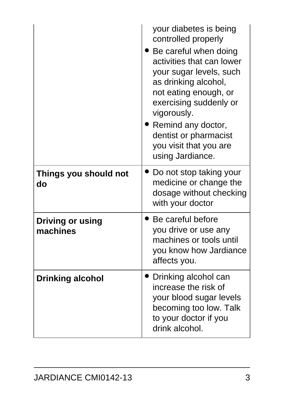|                                     | your diabetes is being<br>controlled properly<br>Be careful when doing<br>activities that can lower<br>your sugar levels, such<br>as drinking alcohol,<br>not eating enough, or<br>exercising suddenly or<br>vigorously.<br>• Remind any doctor,<br>dentist or pharmacist<br>you visit that you are<br>using Jardiance. |
|-------------------------------------|-------------------------------------------------------------------------------------------------------------------------------------------------------------------------------------------------------------------------------------------------------------------------------------------------------------------------|
| Things you should not<br>do         | Do not stop taking your<br>medicine or change the<br>dosage without checking<br>with your doctor                                                                                                                                                                                                                        |
| <b>Driving or using</b><br>machines | Be careful before<br>you drive or use any<br>machines or tools until<br>you know how Jardiance<br>affects you.                                                                                                                                                                                                          |
| <b>Drinking alcohol</b>             | Drinking alcohol can<br>increase the risk of<br>your blood sugar levels<br>becoming too low. Talk<br>to your doctor if you<br>drink alcohol.                                                                                                                                                                            |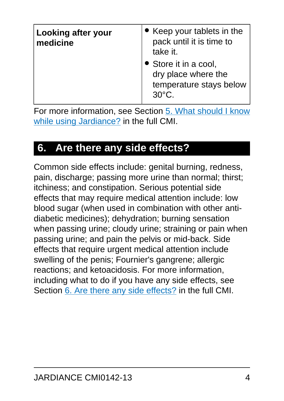| <b>Looking after your</b><br>medicine | • Keep your tablets in the<br>pack until it is time to<br>take it.                         |
|---------------------------------------|--------------------------------------------------------------------------------------------|
|                                       | • Store it in a cool,<br>dry place where the<br>temperature stays below<br>$30^{\circ}$ C. |

For more information, see Section [5. What should I know](#page-11-0) [while using Jardiance?](#page-11-0) in the full CMI.

## **6. Are there any side effects?**

Common side effects include: genital burning, redness, pain, discharge; passing more urine than normal; thirst; itchiness; and constipation. Serious potential side effects that may require medical attention include: low blood sugar (when used in combination with other antidiabetic medicines); dehydration; burning sensation when passing urine; cloudy urine; straining or pain when passing urine; and pain the pelvis or mid-back. Side effects that require urgent medical attention include swelling of the penis; Fournier's gangrene; allergic reactions; and ketoacidosis. For more information, including what to do if you have any side effects, see Section [6. Are there any side effects?](#page-14-0) in the full CMI.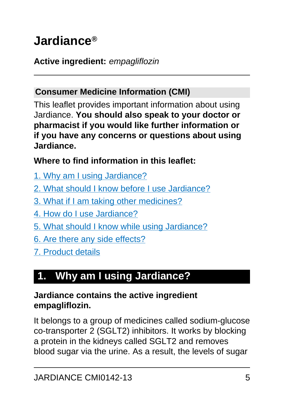# <span id="page-4-0"></span>**Jardiance®**

#### **Active ingredient:** empagliflozin

#### **Consumer Medicine Information (CMI)**

This leaflet provides important information about using Jardiance. **You should also speak to your doctor or pharmacist if you would like further information or if you have any concerns or questions about using Jardiance.**

#### **Where to find information in this leaflet:**

- [1. Why am I using Jardiance?](#page-4-1)
- [2. What should I know before I use Jardiance?](#page-6-0)
- [3. What if I am taking other medicines?](#page-8-0)
- [4. How do I use Jardiance?](#page-9-0)
- [5. What should I know while using Jardiance?](#page-11-0)
- [6. Are there any side effects?](#page-14-0)
- [7. Product details](#page-20-0)

## <span id="page-4-1"></span>**1. Why am I using Jardiance?**

#### **Jardiance contains the active ingredient empagliflozin.**

It belongs to a group of medicines called sodium-glucose co-transporter 2 (SGLT2) inhibitors. It works by blocking a protein in the kidneys called SGLT2 and removes blood sugar via the urine. As a result, the levels of sugar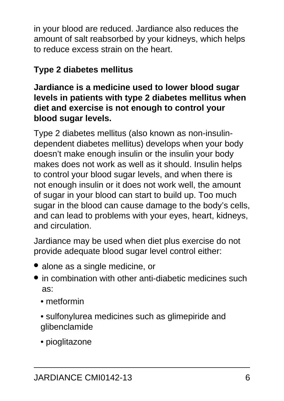in your blood are reduced. Jardiance also reduces the amount of salt reabsorbed by your kidneys, which helps to reduce excess strain on the heart.

### **Type 2 diabetes mellitus**

#### **Jardiance is a medicine used to lower blood sugar levels in patients with type 2 diabetes mellitus when diet and exercise is not enough to control your blood sugar levels.**

Type 2 diabetes mellitus (also known as non-insulindependent diabetes mellitus) develops when your body doesn't make enough insulin or the insulin your body makes does not work as well as it should. Insulin helps to control your blood sugar levels, and when there is not enough insulin or it does not work well, the amount of sugar in your blood can start to build up. Too much sugar in the blood can cause damage to the body's cells, and can lead to problems with your eyes, heart, kidneys, and circulation.

Jardiance may be used when diet plus exercise do not provide adequate blood sugar level control either:

- alone as a single medicine, or
- in combination with other anti-diabetic medicines such as:
	- metformin
	- sulfonylurea medicines such as glimepiride and glibenclamide
	- pioglitazone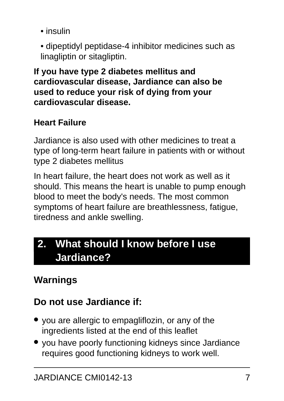- insulin
- dipeptidyl peptidase-4 inhibitor medicines such as linagliptin or sitagliptin.

**If you have type 2 diabetes mellitus and cardiovascular disease, Jardiance can also be used to reduce your risk of dying from your cardiovascular disease.**

### **Heart Failure**

Jardiance is also used with other medicines to treat a type of long-term heart failure in patients with or without type 2 diabetes mellitus

In heart failure, the heart does not work as well as it should. This means the heart is unable to pump enough blood to meet the body's needs. The most common symptoms of heart failure are breathlessness, fatigue, tiredness and ankle swelling.

## <span id="page-6-0"></span>**2. What should I know before I use Jardiance?**

## **Warnings**

## **Do not use Jardiance if:**

- you are allergic to empagliflozin, or any of the ingredients listed at the end of this leaflet
- you have poorly functioning kidneys since Jardiance requires good functioning kidneys to work well.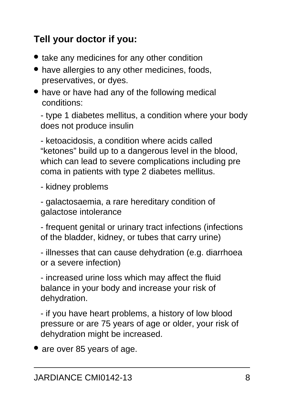## **Tell your doctor if you:**

- take any medicines for any other condition
- have allergies to any other medicines, foods, preservatives, or dyes.
- have or have had any of the following medical conditions:

- type 1 diabetes mellitus, a condition where your body does not produce insulin

- ketoacidosis, a condition where acids called "ketones" build up to a dangerous level in the blood, which can lead to severe complications including pre coma in patients with type 2 diabetes mellitus.

- kidney problems

- galactosaemia, a rare hereditary condition of galactose intolerance

- frequent genital or urinary tract infections (infections of the bladder, kidney, or tubes that carry urine)

- illnesses that can cause dehydration (e.g. diarrhoea or a severe infection)

- increased urine loss which may affect the fluid balance in your body and increase your risk of dehydration.

- if you have heart problems, a history of low blood pressure or are 75 years of age or older, your risk of dehydration might be increased.

• are over 85 years of age.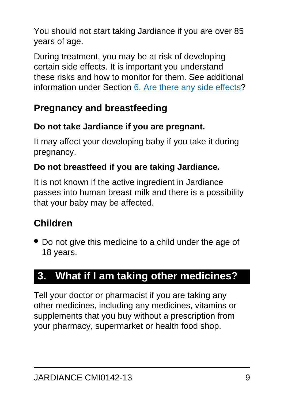You should not start taking Jardiance if you are over 85 years of age.

During treatment, you may be at risk of developing certain side effects. It is important you understand these risks and how to monitor for them. See additional information under Section [6. Are there any side effects](#page-14-0)?

## **Pregnancy and breastfeeding**

### **Do not take Jardiance if you are pregnant.**

It may affect your developing baby if you take it during pregnancy.

### **Do not breastfeed if you are taking Jardiance.**

It is not known if the active ingredient in Jardiance passes into human breast milk and there is a possibility that your baby may be affected.

## **Children**

• Do not give this medicine to a child under the age of 18 years.

## <span id="page-8-0"></span>**3. What if I am taking other medicines?**

Tell your doctor or pharmacist if you are taking any other medicines, including any medicines, vitamins or supplements that you buy without a prescription from your pharmacy, supermarket or health food shop.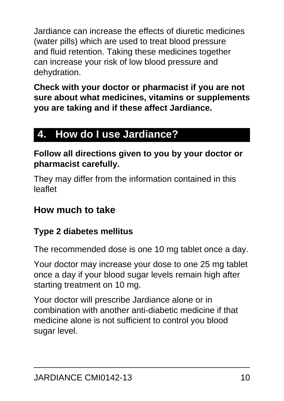Jardiance can increase the effects of diuretic medicines (water pills) which are used to treat blood pressure and fluid retention. Taking these medicines together can increase your risk of low blood pressure and dehydration.

**Check with your doctor or pharmacist if you are not sure about what medicines, vitamins or supplements you are taking and if these affect Jardiance.**

## <span id="page-9-0"></span>**4. How do I use Jardiance?**

#### **Follow all directions given to you by your doctor or pharmacist carefully.**

They may differ from the information contained in this leaflet

### **How much to take**

#### **Type 2 diabetes mellitus**

The recommended dose is one 10 mg tablet once a day.

Your doctor may increase your dose to one 25 mg tablet once a day if your blood sugar levels remain high after starting treatment on 10 mg.

Your doctor will prescribe Jardiance alone or in combination with another anti-diabetic medicine if that medicine alone is not sufficient to control you blood sugar level.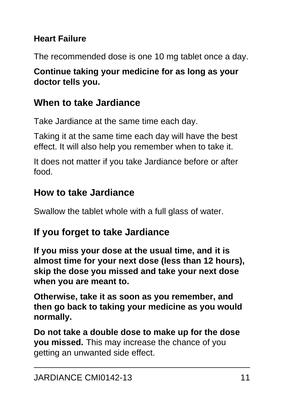#### **Heart Failure**

The recommended dose is one 10 mg tablet once a day.

#### **Continue taking your medicine for as long as your doctor tells you.**

### **When to take Jardiance**

Take Jardiance at the same time each day.

Taking it at the same time each day will have the best effect. It will also help you remember when to take it.

It does not matter if you take Jardiance before or after food.

### **How to take Jardiance**

Swallow the tablet whole with a full glass of water.

### **If you forget to take Jardiance**

**If you miss your dose at the usual time, and it is almost time for your next dose (less than 12 hours), skip the dose you missed and take your next dose when you are meant to.**

**Otherwise, take it as soon as you remember, and then go back to taking your medicine as you would normally.**

**Do not take a double dose to make up for the dose you missed.** This may increase the chance of you getting an unwanted side effect.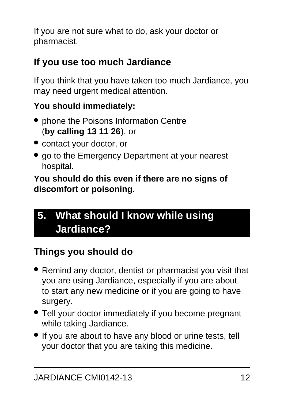If you are not sure what to do, ask your doctor or pharmacist.

### **If you use too much Jardiance**

If you think that you have taken too much Jardiance, you may need urgent medical attention.

### **You should immediately:**

- phone the Poisons Information Centre (**by calling 13 11 26**), or
- contact your doctor, or
- go to the Emergency Department at your nearest hospital.

**You should do this even if there are no signs of discomfort or poisoning.**

## <span id="page-11-0"></span>**5. What should I know while using Jardiance?**

## **Things you should do**

- Remind any doctor, dentist or pharmacist you visit that you are using Jardiance, especially if you are about to start any new medicine or if you are going to have surgery.
- Tell your doctor immediately if you become pregnant while taking Jardiance.
- If you are about to have any blood or urine tests, tell your doctor that you are taking this medicine.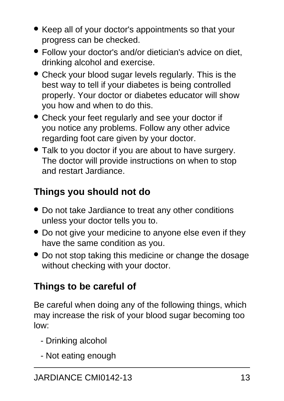- Keep all of your doctor's appointments so that your progress can be checked.
- Follow your doctor's and/or dietician's advice on diet, drinking alcohol and exercise.
- Check your blood sugar levels regularly. This is the best way to tell if your diabetes is being controlled properly. Your doctor or diabetes educator will show you how and when to do this.
- Check your feet regularly and see your doctor if you notice any problems. Follow any other advice regarding foot care given by your doctor.
- Talk to you doctor if you are about to have surgery. The doctor will provide instructions on when to stop and restart Jardiance.

## **Things you should not do**

- Do not take Jardiance to treat any other conditions unless your doctor tells you to.
- Do not give your medicine to anyone else even if they have the same condition as you.
- Do not stop taking this medicine or change the dosage without checking with your doctor.

## **Things to be careful of**

Be careful when doing any of the following things, which may increase the risk of your blood sugar becoming too low:

- Drinking alcohol
- Not eating enough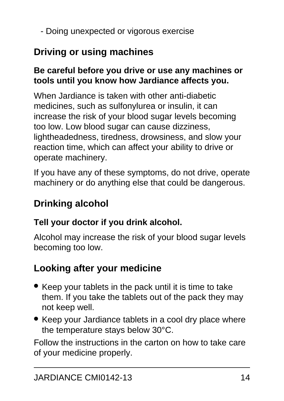- Doing unexpected or vigorous exercise

## **Driving or using machines**

#### **Be careful before you drive or use any machines or tools until you know how Jardiance affects you.**

When Jardiance is taken with other anti-diabetic medicines, such as sulfonylurea or insulin, it can increase the risk of your blood sugar levels becoming too low. Low blood sugar can cause dizziness, lightheadedness, tiredness, drowsiness, and slow your reaction time, which can affect your ability to drive or operate machinery.

If you have any of these symptoms, do not drive, operate machinery or do anything else that could be dangerous.

## **Drinking alcohol**

#### **Tell your doctor if you drink alcohol.**

Alcohol may increase the risk of your blood sugar levels becoming too low.

## **Looking after your medicine**

- Keep your tablets in the pack until it is time to take them. If you take the tablets out of the pack they may not keep well.
- Keep your Jardiance tablets in a cool dry place where the temperature stays below 30°C.

Follow the instructions in the carton on how to take care of your medicine properly.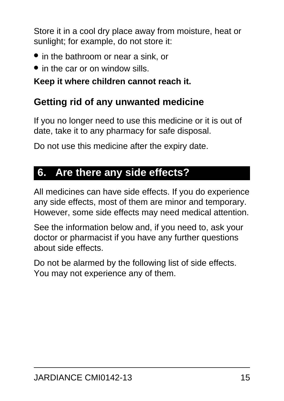Store it in a cool dry place away from moisture, heat or sunlight; for example, do not store it:

- in the bathroom or near a sink, or
- in the car or on window sills.

#### **Keep it where children cannot reach it.**

### **Getting rid of any unwanted medicine**

If you no longer need to use this medicine or it is out of date, take it to any pharmacy for safe disposal.

Do not use this medicine after the expiry date.

## <span id="page-14-0"></span>**6. Are there any side effects?**

All medicines can have side effects. If you do experience any side effects, most of them are minor and temporary. However, some side effects may need medical attention.

See the information below and, if you need to, ask your doctor or pharmacist if you have any further questions about side effects.

Do not be alarmed by the following list of side effects. You may not experience any of them.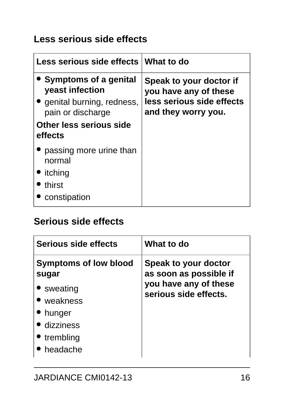### **Less serious side effects**

| Less serious side effects What to do                                                                                             |                                                                                                      |
|----------------------------------------------------------------------------------------------------------------------------------|------------------------------------------------------------------------------------------------------|
| Symptoms of a genital<br>yeast infection<br>genital burning, redness,<br>pain or discharge<br>Other less serious side<br>effects | Speak to your doctor if<br>you have any of these<br>less serious side effects<br>and they worry you. |
| • passing more urine than<br>normal<br>• itching<br>thirst<br>constipation                                                       |                                                                                                      |

### **Serious side effects**

| Serious side effects                                                                                                  | What to do                                                                                       |
|-----------------------------------------------------------------------------------------------------------------------|--------------------------------------------------------------------------------------------------|
| <b>Symptoms of low blood</b><br>sugar<br>• sweating<br>• weakness<br>hunger<br>· dizziness<br>• trembling<br>headache | Speak to your doctor<br>as soon as possible if<br>you have any of these<br>serious side effects. |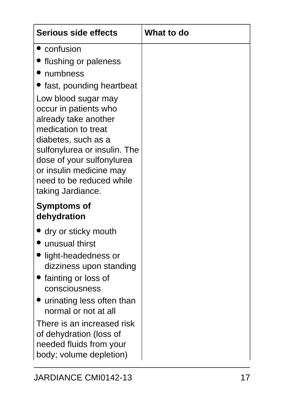| <b>Serious side effects</b>                                                                                                                                                                                                                                 | What to do |
|-------------------------------------------------------------------------------------------------------------------------------------------------------------------------------------------------------------------------------------------------------------|------------|
| • confusion                                                                                                                                                                                                                                                 |            |
| Iflushing or paleness                                                                                                                                                                                                                                       |            |
| • numbness                                                                                                                                                                                                                                                  |            |
| • fast, pounding heartbeat                                                                                                                                                                                                                                  |            |
| Low blood sugar may<br>occur in patients who<br>already take another<br>medication to treat<br>diabetes, such as a<br>sulfonylurea or insulin. The<br>dose of your sulfonylurea<br>or insulin medicine may<br>need to be reduced while<br>taking Jardiance. |            |
| <b>Symptoms of</b><br>dehydration                                                                                                                                                                                                                           |            |
| dry or sticky mouth<br>unusual thirst                                                                                                                                                                                                                       |            |
| light-headedness or<br>dizziness upon standing                                                                                                                                                                                                              |            |
| fainting or loss of<br>consciousness                                                                                                                                                                                                                        |            |
| urinating less often than<br>normal or not at all                                                                                                                                                                                                           |            |
| There is an increased risk<br>of dehydration (loss of<br>needed fluids from your<br>body; volume depletion)                                                                                                                                                 |            |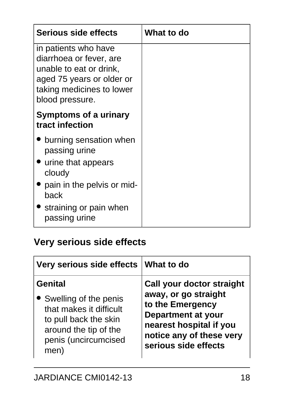| <b>Serious side effects</b>                                                                                                                             | What to do |
|---------------------------------------------------------------------------------------------------------------------------------------------------------|------------|
| in patients who have<br>diarrhoea or fever, are<br>unable to eat or drink,<br>aged 75 years or older or<br>taking medicines to lower<br>blood pressure. |            |
| <b>Symptoms of a urinary</b><br>tract infection                                                                                                         |            |
| burning sensation when<br>passing urine<br>• urine that appears<br>cloudy                                                                               |            |
| pain in the pelvis or mid-<br>back                                                                                                                      |            |
| • straining or pain when<br>passing urine                                                                                                               |            |

## **Very serious side effects**

| Very serious side effects   What to do |                                  |
|----------------------------------------|----------------------------------|
| <b>Genital</b>                         | <b>Call your doctor straight</b> |
| • Swelling of the penis                | away, or go straight             |
| that makes it difficult                | to the Emergency                 |
| to pull back the skin                  | <b>Department at your</b>        |
| around the tip of the                  | nearest hospital if you          |
| penis (uncircumcised                   | notice any of these very         |
| men)                                   | serious side effects             |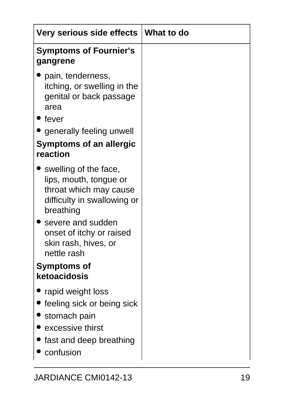| Very serious side effects                                                                                                                                  | ∣ What to do |
|------------------------------------------------------------------------------------------------------------------------------------------------------------|--------------|
| <b>Symptoms of Fournier's</b><br>gangrene                                                                                                                  |              |
| pain, tenderness,<br>itching, or swelling in the<br>genital or back passage<br>area<br>fever<br>generally feeling unwell<br><b>Symptoms of an allergic</b> |              |
| reaction                                                                                                                                                   |              |
| swelling of the face,<br>lips, mouth, tongue or<br>throat which may cause<br>difficulty in swallowing or<br>breathing                                      |              |
| severe and sudden<br>onset of itchy or raised<br>skin rash, hives, or<br>nettle rash                                                                       |              |
| <b>Symptoms of</b>                                                                                                                                         |              |
| ketoacidosis                                                                                                                                               |              |
| rapid weight loss<br>feeling sick or being sick<br>stomach pain<br>excessive thirst<br>fast and deep breathing<br>confusion                                |              |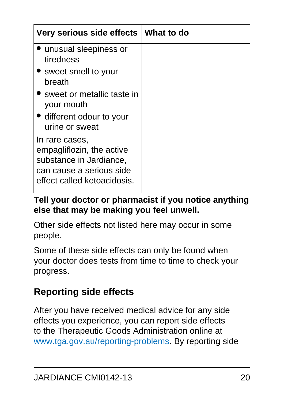| Very serious side effects   What to do                                                                                            |  |
|-----------------------------------------------------------------------------------------------------------------------------------|--|
| unusual sleepiness or<br>tiredness                                                                                                |  |
| • sweet smell to your<br>breath                                                                                                   |  |
| • sweet or metallic taste in<br>your mouth                                                                                        |  |
| • different odour to your<br>urine or sweat                                                                                       |  |
| In rare cases,<br>empagliflozin, the active<br>substance in Jardiance,<br>can cause a serious side<br>effect called ketoacidosis. |  |

#### **Tell your doctor or pharmacist if you notice anything else that may be making you feel unwell.**

Other side effects not listed here may occur in some people.

Some of these side effects can only be found when your doctor does tests from time to time to check your progress.

### **Reporting side effects**

After you have received medical advice for any side effects you experience, you can report side effects to the Therapeutic Goods Administration online at [www.tga.gov.au/reporting-problems.](http://www.tga.gov.au/reporting-problems) By reporting side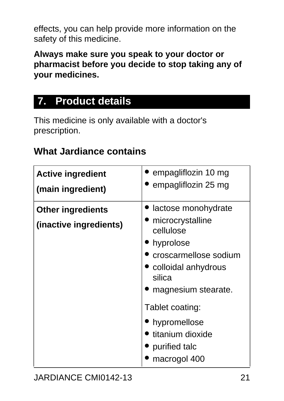effects, you can help provide more information on the safety of this medicine.

**Always make sure you speak to your doctor or pharmacist before you decide to stop taking any of your medicines.**

## <span id="page-20-0"></span>**7. Product details**

This medicine is only available with a doctor's prescription.

### **What Jardiance contains**

| <b>Active ingredient</b>                           | empagliflozin 10 mg                                                                                                                                                                                                                        |
|----------------------------------------------------|--------------------------------------------------------------------------------------------------------------------------------------------------------------------------------------------------------------------------------------------|
| (main ingredient)                                  | empagliflozin 25 mg                                                                                                                                                                                                                        |
| <b>Other ingredients</b><br>(inactive ingredients) | lactose monohydrate<br>microcrystalline<br>cellulose<br>hyprolose<br>croscarmellose sodium<br>colloidal anhydrous<br>silica<br>magnesium stearate.<br>Tablet coating:<br>hypromellose<br>titanium dioxide<br>purified talc<br>macrogol 400 |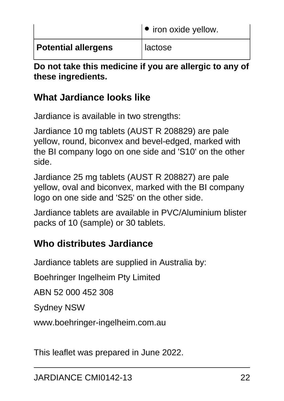|                            | $\bullet$ iron oxide yellow. |
|----------------------------|------------------------------|
| <b>Potential allergens</b> | l lactose                    |

**Do not take this medicine if you are allergic to any of these ingredients.**

### **What Jardiance looks like**

Jardiance is available in two strengths:

Jardiance 10 mg tablets (AUST R 208829) are pale yellow, round, biconvex and bevel-edged, marked with the BI company logo on one side and 'S10' on the other side.

Jardiance 25 mg tablets (AUST R 208827) are pale yellow, oval and biconvex, marked with the BI company logo on one side and 'S25' on the other side.

Jardiance tablets are available in PVC/Aluminium blister packs of 10 (sample) or 30 tablets.

### **Who distributes Jardiance**

Jardiance tablets are supplied in Australia by:

Boehringer Ingelheim Pty Limited

ABN 52 000 452 308

Sydney NSW

www.boehringer-ingelheim.com.au

This leaflet was prepared in June 2022.